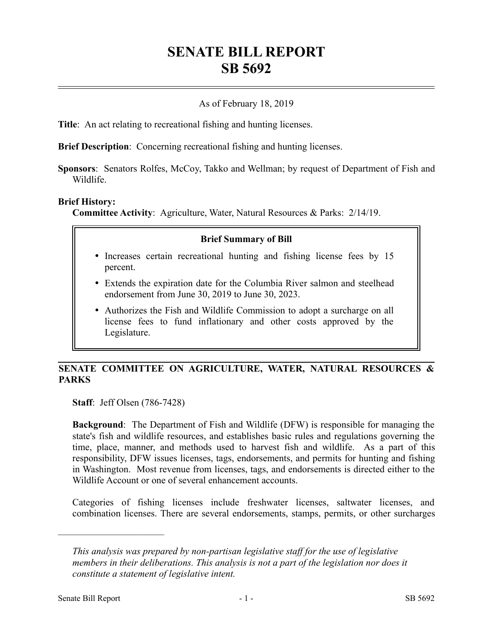# **SENATE BILL REPORT SB 5692**

## As of February 18, 2019

**Title**: An act relating to recreational fishing and hunting licenses.

**Brief Description**: Concerning recreational fishing and hunting licenses.

**Sponsors**: Senators Rolfes, McCoy, Takko and Wellman; by request of Department of Fish and Wildlife.

#### **Brief History:**

**Committee Activity**: Agriculture, Water, Natural Resources & Parks: 2/14/19.

#### **Brief Summary of Bill**

- Increases certain recreational hunting and fishing license fees by 15 percent.
- Extends the expiration date for the Columbia River salmon and steelhead endorsement from June 30, 2019 to June 30, 2023.
- Authorizes the Fish and Wildlife Commission to adopt a surcharge on all license fees to fund inflationary and other costs approved by the Legislature.

# **SENATE COMMITTEE ON AGRICULTURE, WATER, NATURAL RESOURCES & PARKS**

**Staff**: Jeff Olsen (786-7428)

**Background**: The Department of Fish and Wildlife (DFW) is responsible for managing the state's fish and wildlife resources, and establishes basic rules and regulations governing the time, place, manner, and methods used to harvest fish and wildlife. As a part of this responsibility, DFW issues licenses, tags, endorsements, and permits for hunting and fishing in Washington. Most revenue from licenses, tags, and endorsements is directed either to the Wildlife Account or one of several enhancement accounts.

Categories of fishing licenses include freshwater licenses, saltwater licenses, and combination licenses. There are several endorsements, stamps, permits, or other surcharges

––––––––––––––––––––––

*This analysis was prepared by non-partisan legislative staff for the use of legislative members in their deliberations. This analysis is not a part of the legislation nor does it constitute a statement of legislative intent.*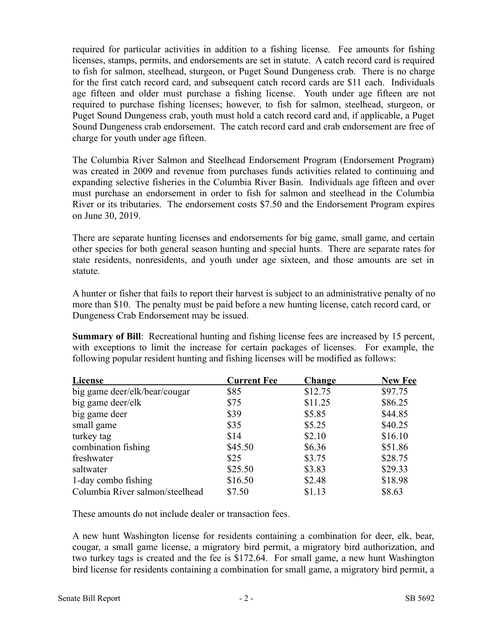required for particular activities in addition to a fishing license. Fee amounts for fishing licenses, stamps, permits, and endorsements are set in statute. A catch record card is required to fish for salmon, steelhead, sturgeon, or Puget Sound Dungeness crab. There is no charge for the first catch record card, and subsequent catch record cards are \$11 each. Individuals age fifteen and older must purchase a fishing license. Youth under age fifteen are not required to purchase fishing licenses; however, to fish for salmon, steelhead, sturgeon, or Puget Sound Dungeness crab, youth must hold a catch record card and, if applicable, a Puget Sound Dungeness crab endorsement. The catch record card and crab endorsement are free of charge for youth under age fifteen.

The Columbia River Salmon and Steelhead Endorsement Program (Endorsement Program) was created in 2009 and revenue from purchases funds activities related to continuing and expanding selective fisheries in the Columbia River Basin. Individuals age fifteen and over must purchase an endorsement in order to fish for salmon and steelhead in the Columbia River or its tributaries. The endorsement costs \$7.50 and the Endorsement Program expires on June 30, 2019.

There are separate hunting licenses and endorsements for big game, small game, and certain other species for both general season hunting and special hunts. There are separate rates for state residents, nonresidents, and youth under age sixteen, and those amounts are set in statute.

A hunter or fisher that fails to report their harvest is subject to an administrative penalty of no more than \$10. The penalty must be paid before a new hunting license, catch record card, or Dungeness Crab Endorsement may be issued.

**Summary of Bill**: Recreational hunting and fishing license fees are increased by 15 percent, with exceptions to limit the increase for certain packages of licenses. For example, the following popular resident hunting and fishing licenses will be modified as follows:

| License                         | <b>Current Fee</b> | Change  | <b>New Fee</b> |
|---------------------------------|--------------------|---------|----------------|
| big game deer/elk/bear/cougar   | \$85               | \$12.75 | \$97.75        |
| big game deer/elk               | \$75               | \$11.25 | \$86.25        |
| big game deer                   | \$39               | \$5.85  | \$44.85        |
| small game                      | \$35               | \$5.25  | \$40.25        |
| turkey tag                      | \$14               | \$2.10  | \$16.10        |
| combination fishing             | \$45.50            | \$6.36  | \$51.86        |
| freshwater                      | \$25               | \$3.75  | \$28.75        |
| saltwater                       | \$25.50            | \$3.83  | \$29.33        |
| 1-day combo fishing             | \$16.50            | \$2.48  | \$18.98        |
| Columbia River salmon/steelhead | \$7.50             | \$1.13  | \$8.63         |

These amounts do not include dealer or transaction fees.

A new hunt Washington license for residents containing a combination for deer, elk, bear, cougar, a small game license, a migratory bird permit, a migratory bird authorization, and two turkey tags is created and the fee is \$172.64. For small game, a new hunt Washington bird license for residents containing a combination for small game, a migratory bird permit, a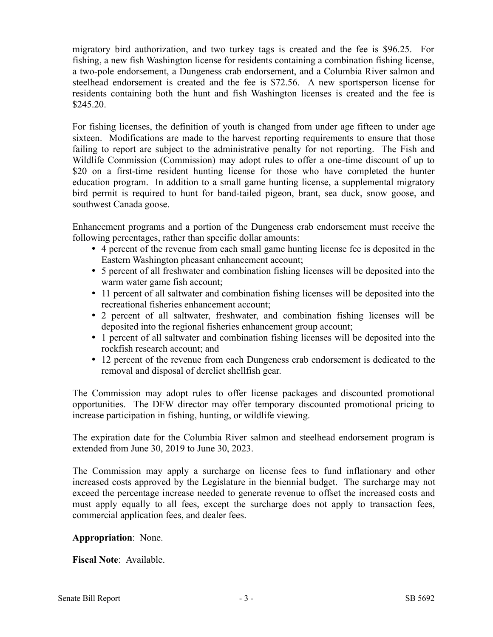migratory bird authorization, and two turkey tags is created and the fee is \$96.25. For fishing, a new fish Washington license for residents containing a combination fishing license, a two-pole endorsement, a Dungeness crab endorsement, and a Columbia River salmon and steelhead endorsement is created and the fee is \$72.56. A new sportsperson license for residents containing both the hunt and fish Washington licenses is created and the fee is \$245.20.

For fishing licenses, the definition of youth is changed from under age fifteen to under age sixteen. Modifications are made to the harvest reporting requirements to ensure that those failing to report are subject to the administrative penalty for not reporting. The Fish and Wildlife Commission (Commission) may adopt rules to offer a one-time discount of up to \$20 on a first-time resident hunting license for those who have completed the hunter education program. In addition to a small game hunting license, a supplemental migratory bird permit is required to hunt for band-tailed pigeon, brant, sea duck, snow goose, and southwest Canada goose.

Enhancement programs and a portion of the Dungeness crab endorsement must receive the following percentages, rather than specific dollar amounts:

- 4 percent of the revenue from each small game hunting license fee is deposited in the Eastern Washington pheasant enhancement account;
- 5 percent of all freshwater and combination fishing licenses will be deposited into the warm water game fish account;
- 11 percent of all saltwater and combination fishing licenses will be deposited into the recreational fisheries enhancement account;
- 2 percent of all saltwater, freshwater, and combination fishing licenses will be deposited into the regional fisheries enhancement group account;
- 1 percent of all saltwater and combination fishing licenses will be deposited into the rockfish research account; and
- 12 percent of the revenue from each Dungeness crab endorsement is dedicated to the removal and disposal of derelict shellfish gear.

The Commission may adopt rules to offer license packages and discounted promotional opportunities. The DFW director may offer temporary discounted promotional pricing to increase participation in fishing, hunting, or wildlife viewing.

The expiration date for the Columbia River salmon and steelhead endorsement program is extended from June 30, 2019 to June 30, 2023.

The Commission may apply a surcharge on license fees to fund inflationary and other increased costs approved by the Legislature in the biennial budget. The surcharge may not exceed the percentage increase needed to generate revenue to offset the increased costs and must apply equally to all fees, except the surcharge does not apply to transaction fees, commercial application fees, and dealer fees.

**Appropriation**: None.

**Fiscal Note**: Available.